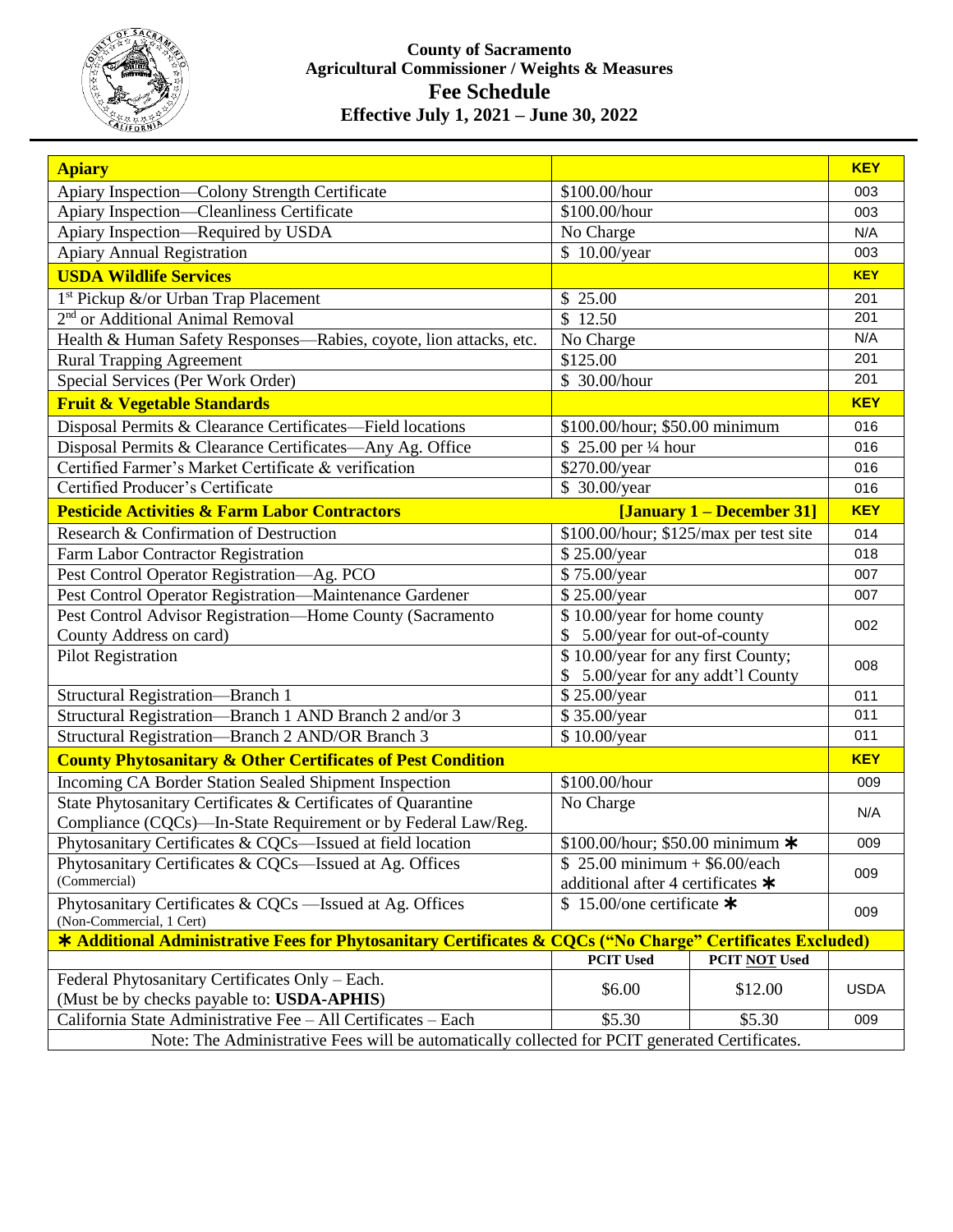

## **County of Sacramento Agricultural Commissioner / Weights & Measures Fee Schedule Effective July 1, 2021 – June 30, 2022**

| <b>Apiary</b>                                                                                              |                                          |               | <b>KEY</b>        |  |
|------------------------------------------------------------------------------------------------------------|------------------------------------------|---------------|-------------------|--|
| Apiary Inspection-Colony Strength Certificate                                                              | \$100.00/hour                            |               | 003               |  |
| Apiary Inspection-Cleanliness Certificate                                                                  | \$100.00/hour                            |               | 003               |  |
| Apiary Inspection—Required by USDA                                                                         | No Charge                                |               | N/A               |  |
| <b>Apiary Annual Registration</b>                                                                          | \$10.00/year                             |               | 003               |  |
| <b>USDA Wildlife Services</b>                                                                              |                                          |               | <b>KEY</b>        |  |
| 1 <sup>st</sup> Pickup &/or Urban Trap Placement                                                           | \$25.00                                  |               | 201               |  |
| 2 <sup>nd</sup> or Additional Animal Removal                                                               | $\overline{\$}$ 12.50                    |               | 201               |  |
| Health & Human Safety Responses—Rabies, coyote, lion attacks, etc.                                         | No Charge                                |               | N/A               |  |
| <b>Rural Trapping Agreement</b>                                                                            | \$125.00                                 |               | 201               |  |
| Special Services (Per Work Order)                                                                          | \$ 30.00/hour                            |               | 201               |  |
| <b>Fruit &amp; Vegetable Standards</b>                                                                     |                                          |               | <b>KEY</b>        |  |
| Disposal Permits & Clearance Certificates—Field locations                                                  | \$100.00/hour; \$50.00 minimum           |               | 016               |  |
| Disposal Permits & Clearance Certificates-Any Ag. Office                                                   | \$25.00 per 1/4 hour                     |               | 016               |  |
| Certified Farmer's Market Certificate & verification                                                       | \$270.00/year                            |               | 016               |  |
| Certified Producer's Certificate                                                                           | \$ 30.00/year                            |               | 016               |  |
| <b>Pesticide Activities &amp; Farm Labor Contractors</b>                                                   | [January 1 – December 31]                |               | <b>KEY</b>        |  |
| Research & Confirmation of Destruction                                                                     | \$100.00/hour; \$125/max per test site   |               | 014               |  |
| Farm Labor Contractor Registration                                                                         | \$25.00/year                             |               | 018               |  |
| Pest Control Operator Registration-Ag. PCO                                                                 | \$75.00/year                             |               | 007               |  |
| Pest Control Operator Registration-Maintenance Gardener                                                    | \$25.00/year                             |               | 007               |  |
| Pest Control Advisor Registration-Home County (Sacramento                                                  | \$10.00/year for home county             |               | 002               |  |
| County Address on card)                                                                                    | \$ 5.00/year for out-of-county           |               |                   |  |
| <b>Pilot Registration</b>                                                                                  | \$10.00/year for any first County;       |               | 008               |  |
|                                                                                                            | \$ 5.00/year for any addt'l County       |               |                   |  |
| Structural Registration-Branch 1                                                                           | \$25.00/year                             |               | 011               |  |
| Structural Registration-Branch 1 AND Branch 2 and/or 3                                                     | \$35.00/year                             |               | 011               |  |
| Structural Registration-Branch 2 AND/OR Branch 3                                                           | \$10.00/year                             |               | 011<br><b>KEY</b> |  |
| <b>County Phytosanitary &amp; Other Certificates of Pest Condition</b>                                     |                                          |               |                   |  |
| Incoming CA Border Station Sealed Shipment Inspection                                                      | \$100.00/hour                            |               | 009               |  |
| State Phytosanitary Certificates & Certificates of Quarantine                                              | No Charge                                |               | N/A               |  |
| Compliance (CQCs)—In-State Requirement or by Federal Law/Reg.                                              |                                          |               |                   |  |
| Phytosanitary Certificates & CQCs-Issued at field location                                                 | \$100.00/hour; \$50.00 minimum $*$       |               | 009               |  |
| Phytosanitary Certificates & CQCs-Issued at Ag. Offices                                                    | $$25.00 minimum + $6.00/each$            |               | 009               |  |
| (Commercial)                                                                                               | additional after 4 certificates $\star$  |               |                   |  |
| Phytosanitary Certificates & CQCs —Issued at Ag. Offices<br>(Non-Commercial, 1 Cert)                       | $\overline{$}15.00$ /one certificate $*$ |               | 009               |  |
| * Additional Administrative Fees for Phytosanitary Certificates & CQCs ("No Charge" Certificates Excluded) |                                          |               |                   |  |
|                                                                                                            | <b>PCIT Used</b>                         | PCIT NOT Used |                   |  |
| Federal Phytosanitary Certificates Only - Each.                                                            | \$6.00                                   | \$12.00       | <b>USDA</b>       |  |
| (Must be by checks payable to: USDA-APHIS)                                                                 |                                          |               |                   |  |
| California State Administrative Fee - All Certificates - Each                                              | \$5.30                                   | \$5.30        | 009               |  |
| Note: The Administrative Fees will be automatically collected for PCIT generated Certificates.             |                                          |               |                   |  |